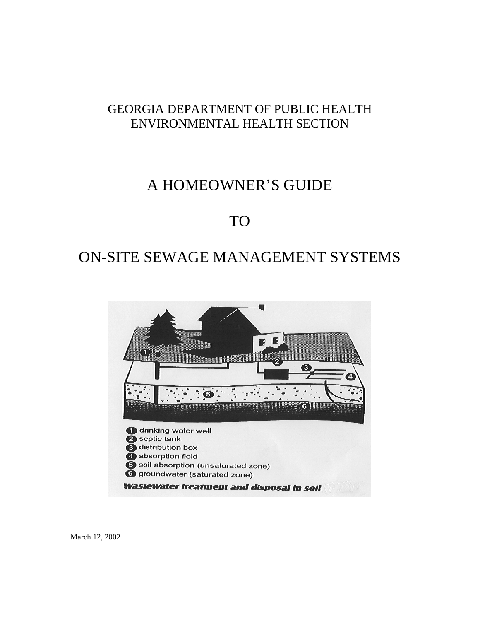### GEORGIA DEPARTMENT OF PUBLIC HEALTH ENVIRONMENTAL HEALTH SECTION

## A HOMEOWNER'S GUIDE

## TO

# ON-SITE SEWAGE MANAGEMENT SYSTEMS



March 12, 2002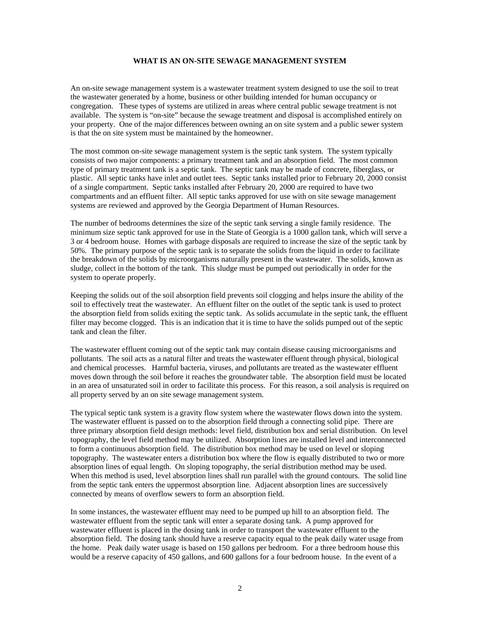#### **WHAT IS AN ON-SITE SEWAGE MANAGEMENT SYSTEM**

An on-site sewage management system is a wastewater treatment system designed to use the soil to treat the wastewater generated by a home, business or other building intended for human occupancy or congregation. These types of systems are utilized in areas where central public sewage treatment is not available. The system is "on-site" because the sewage treatment and disposal is accomplished entirely on your property. One of the major differences between owning an on site system and a public sewer system is that the on site system must be maintained by the homeowner.

The most common on-site sewage management system is the septic tank system. The system typically consists of two major components: a primary treatment tank and an absorption field. The most common type of primary treatment tank is a septic tank. The septic tank may be made of concrete, fiberglass, or plastic. All septic tanks have inlet and outlet tees. Septic tanks installed prior to February 20, 2000 consist of a single compartment. Septic tanks installed after February 20, 2000 are required to have two compartments and an effluent filter. All septic tanks approved for use with on site sewage management systems are reviewed and approved by the Georgia Department of Human Resources.

The number of bedrooms determines the size of the septic tank serving a single family residence. The minimum size septic tank approved for use in the State of Georgia is a 1000 gallon tank, which will serve a 3 or 4 bedroom house. Homes with garbage disposals are required to increase the size of the septic tank by 50%. The primary purpose of the septic tank is to separate the solids from the liquid in order to facilitate the breakdown of the solids by microorganisms naturally present in the wastewater. The solids, known as sludge, collect in the bottom of the tank. This sludge must be pumped out periodically in order for the system to operate properly.

Keeping the solids out of the soil absorption field prevents soil clogging and helps insure the ability of the soil to effectively treat the wastewater. An effluent filter on the outlet of the septic tank is used to protect the absorption field from solids exiting the septic tank. As solids accumulate in the septic tank, the effluent filter may become clogged. This is an indication that it is time to have the solids pumped out of the septic tank and clean the filter.

The wastewater effluent coming out of the septic tank may contain disease causing microorganisms and pollutants. The soil acts as a natural filter and treats the wastewater effluent through physical, biological and chemical processes. Harmful bacteria, viruses, and pollutants are treated as the wastewater effluent moves down through the soil before it reaches the groundwater table. The absorption field must be located in an area of unsaturated soil in order to facilitate this process. For this reason, a soil analysis is required on all property served by an on site sewage management system.

The typical septic tank system is a gravity flow system where the wastewater flows down into the system. The wastewater effluent is passed on to the absorption field through a connecting solid pipe. There are three primary absorption field design methods: level field, distribution box and serial distribution. On level topography, the level field method may be utilized. Absorption lines are installed level and interconnected to form a continuous absorption field. The distribution box method may be used on level or sloping topography. The wastewater enters a distribution box where the flow is equally distributed to two or more absorption lines of equal length. On sloping topography, the serial distribution method may be used. When this method is used, level absorption lines shall run parallel with the ground contours. The solid line from the septic tank enters the uppermost absorption line. Adjacent absorption lines are successively connected by means of overflow sewers to form an absorption field.

In some instances, the wastewater effluent may need to be pumped up hill to an absorption field. The wastewater effluent from the septic tank will enter a separate dosing tank. A pump approved for wastewater effluent is placed in the dosing tank in order to transport the wastewater effluent to the absorption field. The dosing tank should have a reserve capacity equal to the peak daily water usage from the home. Peak daily water usage is based on 150 gallons per bedroom. For a three bedroom house this would be a reserve capacity of 450 gallons, and 600 gallons for a four bedroom house. In the event of a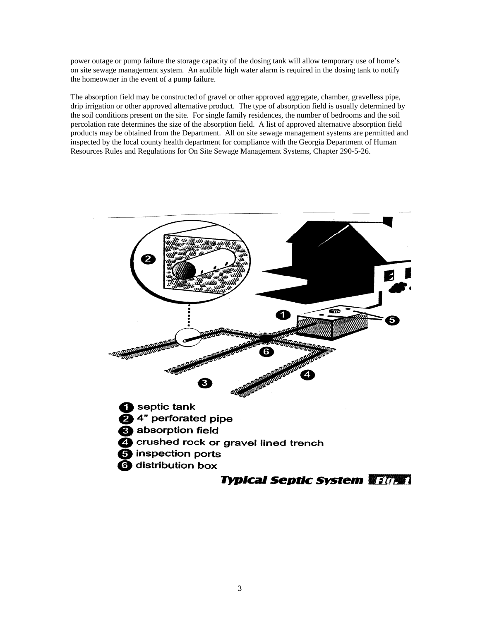power outage or pump failure the storage capacity of the dosing tank will allow temporary use of home's on site sewage management system. An audible high water alarm is required in the dosing tank to notify the homeowner in the event of a pump failure.

The absorption field may be constructed of gravel or other approved aggregate, chamber, gravelless pipe, drip irrigation or other approved alternative product. The type of absorption field is usually determined by the soil conditions present on the site. For single family residences, the number of bedrooms and the soil percolation rate determines the size of the absorption field. A list of approved alternative absorption field products may be obtained from the Department. All on site sewage management systems are permitted and inspected by the local county health department for compliance with the Georgia Department of Human Resources Rules and Regulations for On Site Sewage Management Systems, Chapter 290-5-26.

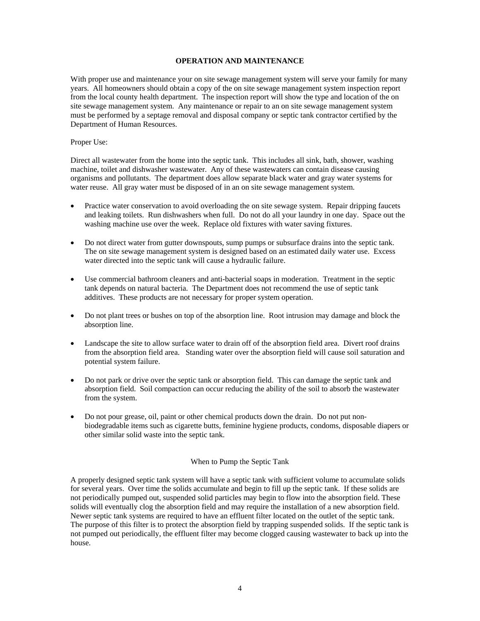#### **OPERATION AND MAINTENANCE**

With proper use and maintenance your on site sewage management system will serve your family for many years. All homeowners should obtain a copy of the on site sewage management system inspection report from the local county health department. The inspection report will show the type and location of the on site sewage management system. Any maintenance or repair to an on site sewage management system must be performed by a septage removal and disposal company or septic tank contractor certified by the Department of Human Resources.

#### Proper Use:

Direct all wastewater from the home into the septic tank. This includes all sink, bath, shower, washing machine, toilet and dishwasher wastewater. Any of these wastewaters can contain disease causing organisms and pollutants. The department does allow separate black water and gray water systems for water reuse. All gray water must be disposed of in an on site sewage management system.

- Practice water conservation to avoid overloading the on site sewage system. Repair dripping faucets and leaking toilets. Run dishwashers when full. Do not do all your laundry in one day. Space out the washing machine use over the week. Replace old fixtures with water saving fixtures.
- Do not direct water from gutter downspouts, sump pumps or subsurface drains into the septic tank. The on site sewage management system is designed based on an estimated daily water use. Excess water directed into the septic tank will cause a hydraulic failure.
- Use commercial bathroom cleaners and anti-bacterial soaps in moderation. Treatment in the septic tank depends on natural bacteria. The Department does not recommend the use of septic tank additives. These products are not necessary for proper system operation.
- Do not plant trees or bushes on top of the absorption line. Root intrusion may damage and block the absorption line.
- Landscape the site to allow surface water to drain off of the absorption field area. Divert roof drains from the absorption field area. Standing water over the absorption field will cause soil saturation and potential system failure.
- Do not park or drive over the septic tank or absorption field. This can damage the septic tank and absorption field. Soil compaction can occur reducing the ability of the soil to absorb the wastewater from the system.
- Do not pour grease, oil, paint or other chemical products down the drain. Do not put nonbiodegradable items such as cigarette butts, feminine hygiene products, condoms, disposable diapers or other similar solid waste into the septic tank.

#### When to Pump the Septic Tank

A properly designed septic tank system will have a septic tank with sufficient volume to accumulate solids for several years. Over time the solids accumulate and begin to fill up the septic tank. If these solids are not periodically pumped out, suspended solid particles may begin to flow into the absorption field. These solids will eventually clog the absorption field and may require the installation of a new absorption field. Newer septic tank systems are required to have an effluent filter located on the outlet of the septic tank. The purpose of this filter is to protect the absorption field by trapping suspended solids. If the septic tank is not pumped out periodically, the effluent filter may become clogged causing wastewater to back up into the house.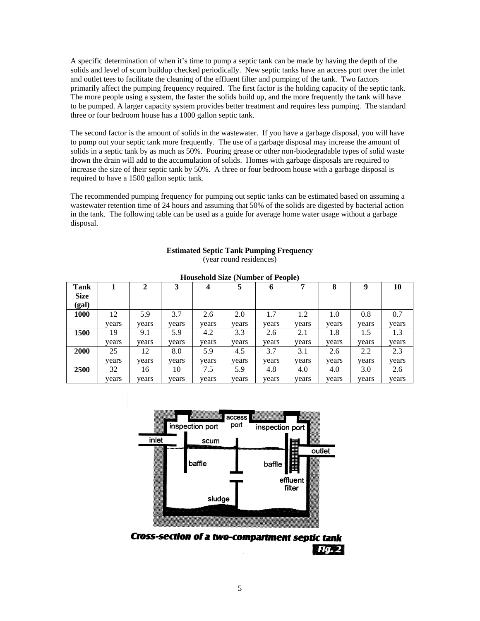A specific determination of when it's time to pump a septic tank can be made by having the depth of the solids and level of scum buildup checked periodically. New septic tanks have an access port over the inlet and outlet tees to facilitate the cleaning of the effluent filter and pumping of the tank. Two factors primarily affect the pumping frequency required. The first factor is the holding capacity of the septic tank. The more people using a system, the faster the solids build up, and the more frequently the tank will have to be pumped. A larger capacity system provides better treatment and requires less pumping. The standard three or four bedroom house has a 1000 gallon septic tank.

The second factor is the amount of solids in the wastewater. If you have a garbage disposal, you will have to pump out your septic tank more frequently. The use of a garbage disposal may increase the amount of solids in a septic tank by as much as 50%. Pouring grease or other non-biodegradable types of solid waste drown the drain will add to the accumulation of solids. Homes with garbage disposals are required to increase the size of their septic tank by 50%. A three or four bedroom house with a garbage disposal is required to have a 1500 gallon septic tank.

The recommended pumping frequency for pumping out septic tanks can be estimated based on assuming a wastewater retention time of 24 hours and assuming that 50% of the solids are digested by bacterial action in the tank. The following table can be used as a guide for average home water usage without a garbage disposal.

|  |  |  |  | <b>Estimated Septic Tank Pumping Frequency</b> |
|--|--|--|--|------------------------------------------------|
|--|--|--|--|------------------------------------------------|

(year round residences)

| <b>Tank</b> |       | 2     | 3     | 4     |       | 6     | 7     | 8     | 9     | 10    |
|-------------|-------|-------|-------|-------|-------|-------|-------|-------|-------|-------|
| <b>Size</b> |       |       |       |       |       |       |       |       |       |       |
| (gal)       |       |       |       |       |       |       |       |       |       |       |
| <b>1000</b> | 12    | 5.9   | 3.7   | 2.6   | 2.0   | 1.7   | 1.2   | 1.0   | 0.8   | 0.7   |
|             | years | vears | years | years | vears | vears | years | years | vears | vears |
| 1500        | 19    | 9.1   | 5.9   | 4.2   | 3.3   | 2.6   | 2.1   | 1.8   | 1.5   | 1.3   |
|             | years | vears | years | years | years | vears | vears | years | vears | vears |
| 2000        | 25    | 12    | 8.0   | 5.9   | 4.5   | 3.7   | 3.1   | 2.6   | 2.2   | 2.3   |
|             | vears | vears | vears | years | vears | vears | vears | years | vears | vears |
| 2500        | 32    | 16    | 10    | 7.5   | 5.9   | 4.8   | 4.0   | 4.0   | 3.0   | 2.6   |
|             | years | years | years | years | years | years | years | years | years | years |

**Household Size (Number of People)** 



**Cross-section of a two-compartment septic tank FGA2**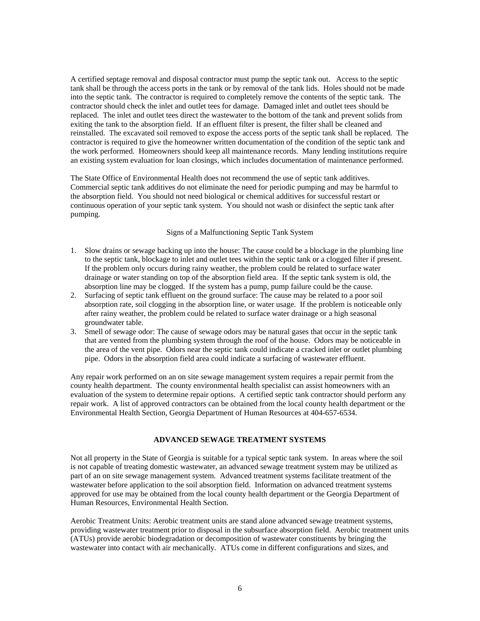A certified septage removal and disposal contractor must pump the septic tank out. Access to the septic tank shall be through the access ports in the tank or by removal of the tank lids. Holes should not be made into the septic tank. The contractor is required to completely remove the contents of the septic tank. The contractor should check the inlet and outlet tees for damage. Damaged inlet and outlet tees should be replaced. The inlet and outlet tees direct the wastewater to the bottom of the tank and prevent solids from exiting the tank to the absorption field. If an effluent filter is present, the filter shall be cleaned and reinstalled. The excavated soil removed to expose the access ports of the septic tank shall be replaced. The contractor is required to give the homeowner written documentation of the condition of the septic tank and the work performed. Homeowners should keep all maintenance records. Many lending institutions require an existing system evaluation for loan closings, which includes documentation of maintenance performed.

The State Office of Environmental Health does not recommend the use of septic tank additives. Commercial septic tank additives do not eliminate the need for periodic pumping and may be harmful to the absorption field. You should not need biological or chemical additives for successful restart or continuous operation of your septic tank system. You should not wash or disinfect the septic tank after pumping.

#### Signs of a Malfunctioning Septic Tank System

- 1. Slow drains or sewage backing up into the house: The cause could be a blockage in the plumbing line to the septic tank, blockage to inlet and outlet tees within the septic tank or a clogged filter if present. If the problem only occurs during rainy weather, the problem could be related to surface water drainage or water standing on top of the absorption field area. If the septic tank system is old, the absorption line may be clogged. If the system has a pump, pump failure could be the cause.
- 2. Surfacing of septic tank effluent on the ground surface: The cause may be related to a poor soil absorption rate, soil clogging in the absorption line, or water usage. If the problem is noticeable only after rainy weather, the problem could be related to surface water drainage or a high seasonal groundwater table.
- 3. Smell of sewage odor: The cause of sewage odors may be natural gases that occur in the septic tank that are vented from the plumbing system through the roof of the house. Odors may be noticeable in the area of the vent pipe. Odors near the septic tank could indicate a cracked inlet or outlet plumbing pipe. Odors in the absorption field area could indicate a surfacing of wastewater effluent.

Any repair work performed on an on site sewage management system requires a repair permit from the county health department. The county environmental health specialist can assist homeowners with an evaluation of the system to determine repair options. A certified septic tank contractor should perform any repair work. A list of approved contractors can be obtained from the local county health department or the Environmental Health Section, Georgia Department of Human Resources at 404-657-6534.

#### **ADVANCED SEWAGE TREATMENT SYSTEMS**

Not all property in the State of Georgia is suitable for a typical septic tank system. In areas where the soil is not capable of treating domestic wastewater, an advanced sewage treatment system may be utilized as part of an on site sewage management system. Advanced treatment systems facilitate treatment of the wastewater before application to the soil absorption field. Information on advanced treatment systems approved for use may be obtained from the local county health department or the Georgia Department of Human Resources, Environmental Health Section.

Aerobic Treatment Units: Aerobic treatment units are stand alone advanced sewage treatment systems, providing wastewater treatment prior to disposal in the subsurface absorption field. Aerobic treatment units (ATUs) provide aerobic biodegradation or decomposition of wastewater constituents by bringing the wastewater into contact with air mechanically. ATUs come in different configurations and sizes, and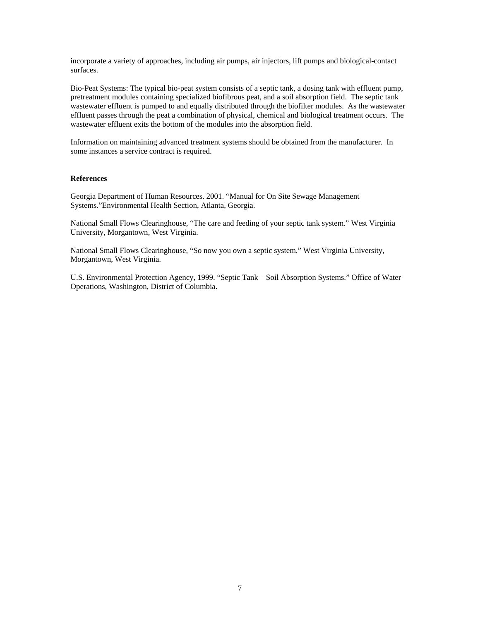incorporate a variety of approaches, including air pumps, air injectors, lift pumps and biological-contact surfaces.

Bio-Peat Systems: The typical bio-peat system consists of a septic tank, a dosing tank with effluent pump, pretreatment modules containing specialized biofibrous peat, and a soil absorption field. The septic tank wastewater effluent is pumped to and equally distributed through the biofilter modules. As the wastewater effluent passes through the peat a combination of physical, chemical and biological treatment occurs. The wastewater effluent exits the bottom of the modules into the absorption field.

Information on maintaining advanced treatment systems should be obtained from the manufacturer. In some instances a service contract is required.

#### **References**

Georgia Department of Human Resources. 2001. "Manual for On Site Sewage Management Systems."Environmental Health Section, Atlanta, Georgia.

National Small Flows Clearinghouse, "The care and feeding of your septic tank system." West Virginia University, Morgantown, West Virginia.

National Small Flows Clearinghouse, "So now you own a septic system." West Virginia University, Morgantown, West Virginia.

U.S. Environmental Protection Agency, 1999. "Septic Tank – Soil Absorption Systems." Office of Water Operations, Washington, District of Columbia.